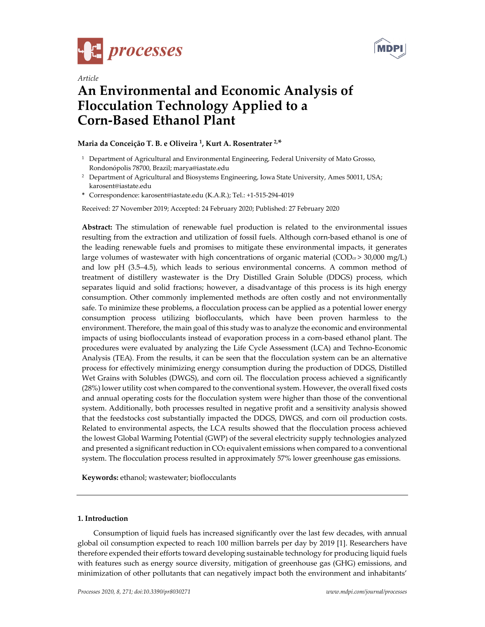



# *Article*  **An Environmental and Economic Analysis of Flocculation Technology Applied to a Corn-Based Ethanol Plant**

## **Maria da Conceição T. B. e Oliveira 1, Kurt A. Rosentrater 2,\***

- $1$  Department of Agricultural and Environmental Engineering, Federal University of Mato Grosso, Rondonópolis 78700, Brazil; marya@iastate.edu
- <sup>2</sup> Department of Agricultural and Biosystems Engineering, Iowa State University, Ames 50011, USA; karosent@iastate.edu
- **\*** Correspondence: karosent@iastate.edu (K.A.R.); Tel.: +1-515-294-4019

Received: 27 November 2019; Accepted: 24 February 2020; Published: 27 February 2020

**Abstract:** The stimulation of renewable fuel production is related to the environmental issues resulting from the extraction and utilization of fossil fuels. Although corn-based ethanol is one of the leading renewable fuels and promises to mitigate these environmental impacts, it generates large volumes of wastewater with high concentrations of organic material ( $\text{COD}_\text{cr}$  > 30,000 mg/L) and low pH (3.5–4.5), which leads to serious environmental concerns. A common method of treatment of distillery wastewater is the Dry Distilled Grain Soluble (DDGS) process, which separates liquid and solid fractions; however, a disadvantage of this process is its high energy consumption. Other commonly implemented methods are often costly and not environmentally safe. To minimize these problems, a flocculation process can be applied as a potential lower energy consumption process utilizing bioflocculants, which have been proven harmless to the environment. Therefore, the main goal of this study was to analyze the economic and environmental impacts of using bioflocculants instead of evaporation process in a corn-based ethanol plant. The procedures were evaluated by analyzing the Life Cycle Assessment (LCA) and Techno-Economic Analysis (TEA). From the results, it can be seen that the flocculation system can be an alternative process for effectively minimizing energy consumption during the production of DDGS, Distilled Wet Grains with Solubles (DWGS), and corn oil. The flocculation process achieved a significantly (28%) lower utility cost when compared to the conventional system. However, the overall fixed costs and annual operating costs for the flocculation system were higher than those of the conventional system. Additionally, both processes resulted in negative profit and a sensitivity analysis showed that the feedstocks cost substantially impacted the DDGS, DWGS, and corn oil production costs. Related to environmental aspects, the LCA results showed that the flocculation process achieved the lowest Global Warming Potential (GWP) of the several electricity supply technologies analyzed and presented a significant reduction in CO<sub>2</sub> equivalent emissions when compared to a conventional system. The flocculation process resulted in approximately 57% lower greenhouse gas emissions.

**Keywords:** ethanol; wastewater; bioflocculants

#### **1. Introduction**

Consumption of liquid fuels has increased significantly over the last few decades, with annual global oil consumption expected to reach 100 million barrels per day by 2019 [1]. Researchers have therefore expended their efforts toward developing sustainable technology for producing liquid fuels with features such as energy source diversity, mitigation of greenhouse gas (GHG) emissions, and minimization of other pollutants that can negatively impact both the environment and inhabitants'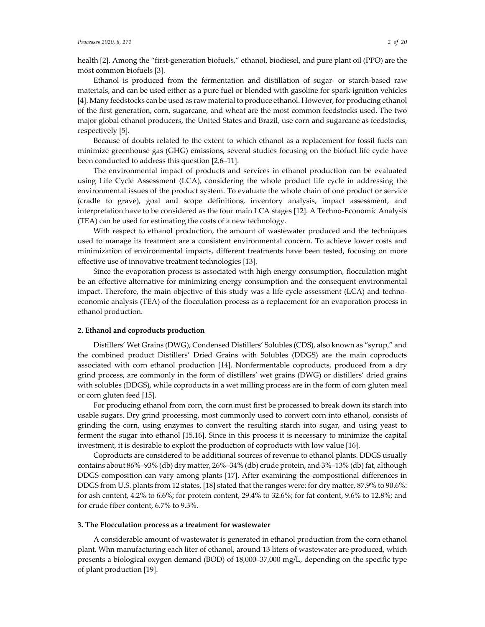health [2]. Among the "first-generation biofuels," ethanol, biodiesel, and pure plant oil (PPO) are the most common biofuels [3].

Ethanol is produced from the fermentation and distillation of sugar- or starch-based raw materials, and can be used either as a pure fuel or blended with gasoline for spark-ignition vehicles [4]. Many feedstocks can be used as raw material to produce ethanol. However, for producing ethanol of the first generation, corn, sugarcane, and wheat are the most common feedstocks used. The two major global ethanol producers, the United States and Brazil, use corn and sugarcane as feedstocks, respectively [5].

Because of doubts related to the extent to which ethanol as a replacement for fossil fuels can minimize greenhouse gas (GHG) emissions, several studies focusing on the biofuel life cycle have been conducted to address this question [2,6–11].

The environmental impact of products and services in ethanol production can be evaluated using Life Cycle Assessment (LCA), considering the whole product life cycle in addressing the environmental issues of the product system. To evaluate the whole chain of one product or service (cradle to grave), goal and scope definitions, inventory analysis, impact assessment, and interpretation have to be considered as the four main LCA stages [12]. A Techno-Economic Analysis (TEA) can be used for estimating the costs of a new technology.

With respect to ethanol production, the amount of wastewater produced and the techniques used to manage its treatment are a consistent environmental concern. To achieve lower costs and minimization of environmental impacts, different treatments have been tested, focusing on more effective use of innovative treatment technologies [13].

Since the evaporation process is associated with high energy consumption, flocculation might be an effective alternative for minimizing energy consumption and the consequent environmental impact. Therefore, the main objective of this study was a life cycle assessment (LCA) and technoeconomic analysis (TEA) of the flocculation process as a replacement for an evaporation process in ethanol production.

#### **2. Ethanol and coproducts production**

Distillers' Wet Grains (DWG), Condensed Distillers' Solubles (CDS), also known as "syrup," and the combined product Distillers' Dried Grains with Solubles (DDGS) are the main coproducts associated with corn ethanol production [14]. Nonfermentable coproducts, produced from a dry grind process, are commonly in the form of distillers' wet grains (DWG) or distillers' dried grains with solubles (DDGS), while coproducts in a wet milling process are in the form of corn gluten meal or corn gluten feed [15].

For producing ethanol from corn, the corn must first be processed to break down its starch into usable sugars. Dry grind processing, most commonly used to convert corn into ethanol, consists of grinding the corn, using enzymes to convert the resulting starch into sugar, and using yeast to ferment the sugar into ethanol [15,16]. Since in this process it is necessary to minimize the capital investment, it is desirable to exploit the production of coproducts with low value [16].

Coproducts are considered to be additional sources of revenue to ethanol plants. DDGS usually contains about 86%–93% (db) dry matter, 26%–34% (db) crude protein, and 3%–13% (db) fat, although DDGS composition can vary among plants [17]. After examining the compositional differences in DDGS from U.S. plants from 12 states, [18] stated that the ranges were: for dry matter, 87.9% to 90.6%: for ash content, 4.2% to 6.6%; for protein content, 29.4% to 32.6%; for fat content, 9.6% to 12.8%; and for crude fiber content, 6.7% to 9.3%.

#### **3. The Flocculation process as a treatment for wastewater**

A considerable amount of wastewater is generated in ethanol production from the corn ethanol plant. Whn manufacturing each liter of ethanol, around 13 liters of wastewater are produced, which presents a biological oxygen demand (BOD) of 18,000–37,000 mg/L, depending on the specific type of plant production [19].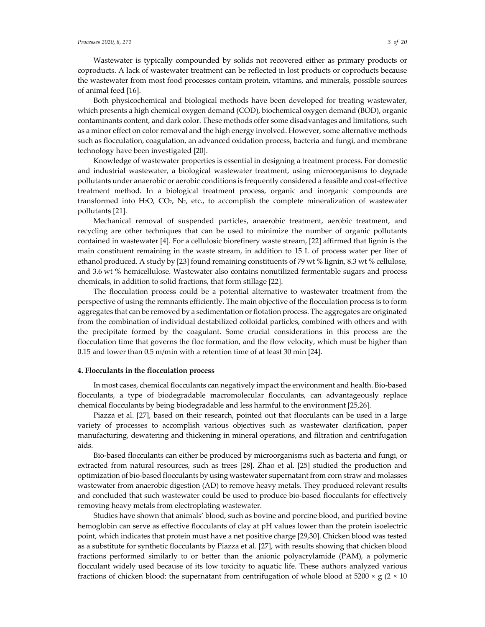Wastewater is typically compounded by solids not recovered either as primary products or coproducts. A lack of wastewater treatment can be reflected in lost products or coproducts because the wastewater from most food processes contain protein, vitamins, and minerals, possible sources of animal feed [16].

Both physicochemical and biological methods have been developed for treating wastewater, which presents a high chemical oxygen demand (COD), biochemical oxygen demand (BOD), organic contaminants content, and dark color. These methods offer some disadvantages and limitations, such as a minor effect on color removal and the high energy involved. However, some alternative methods such as flocculation, coagulation, an advanced oxidation process, bacteria and fungi, and membrane technology have been investigated [20].

Knowledge of wastewater properties is essential in designing a treatment process. For domestic and industrial wastewater, a biological wastewater treatment, using microorganisms to degrade pollutants under anaerobic or aerobic conditions is frequently considered a feasible and cost-effective treatment method. In a biological treatment process, organic and inorganic compounds are transformed into H<sub>2</sub>O, CO<sub>2</sub>, N<sub>2</sub>, etc., to accomplish the complete mineralization of wastewater pollutants [21].

Mechanical removal of suspended particles, anaerobic treatment, aerobic treatment, and recycling are other techniques that can be used to minimize the number of organic pollutants contained in wastewater [4]. For a cellulosic biorefinery waste stream, [22] affirmed that lignin is the main constituent remaining in the waste stream, in addition to 15 L of process water per liter of ethanol produced. A study by [23] found remaining constituents of 79 wt % lignin, 8.3 wt % cellulose, and 3.6 wt % hemicellulose. Wastewater also contains nonutilized fermentable sugars and process chemicals, in addition to solid fractions, that form stillage [22].

The flocculation process could be a potential alternative to wastewater treatment from the perspective of using the remnants efficiently. The main objective of the flocculation process is to form aggregates that can be removed by a sedimentation or flotation process. The aggregates are originated from the combination of individual destabilized colloidal particles, combined with others and with the precipitate formed by the coagulant. Some crucial considerations in this process are the flocculation time that governs the floc formation, and the flow velocity, which must be higher than 0.15 and lower than 0.5 m/min with a retention time of at least 30 min [24].

#### **4. Flocculants in the flocculation process**

In most cases, chemical flocculants can negatively impact the environment and health. Bio-based flocculants, a type of biodegradable macromolecular flocculants, can advantageously replace chemical flocculants by being biodegradable and less harmful to the environment [25,26].

Piazza et al. [27], based on their research, pointed out that flocculants can be used in a large variety of processes to accomplish various objectives such as wastewater clarification, paper manufacturing, dewatering and thickening in mineral operations, and filtration and centrifugation aids.

Bio-based flocculants can either be produced by microorganisms such as bacteria and fungi, or extracted from natural resources, such as trees [28]. Zhao et al. [25] studied the production and optimization of bio-based flocculants by using wastewater supernatant from corn straw and molasses wastewater from anaerobic digestion (AD) to remove heavy metals. They produced relevant results and concluded that such wastewater could be used to produce bio-based flocculants for effectively removing heavy metals from electroplating wastewater.

Studies have shown that animals' blood, such as bovine and porcine blood, and purified bovine hemoglobin can serve as effective flocculants of clay at pH values lower than the protein isoelectric point, which indicates that protein must have a net positive charge [29,30]. Chicken blood was tested as a substitute for synthetic flocculants by Piazza et al. [27], with results showing that chicken blood fractions performed similarly to or better than the anionic polyacrylamide (PAM), a polymeric flocculant widely used because of its low toxicity to aquatic life. These authors analyzed various fractions of chicken blood: the supernatant from centrifugation of whole blood at  $5200 \times g$  (2  $\times$  10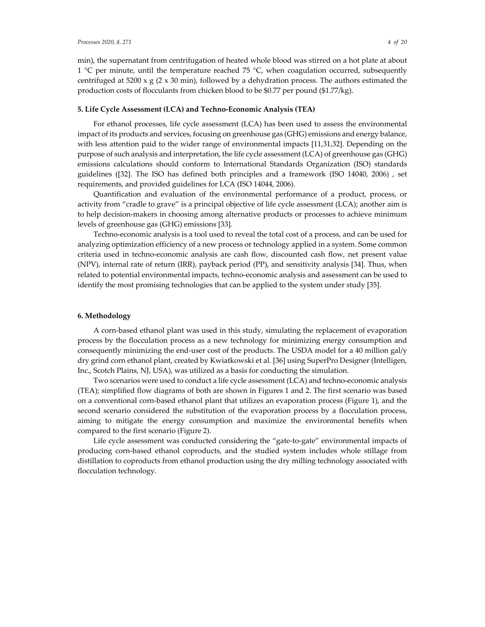min), the supernatant from centrifugation of heated whole blood was stirred on a hot plate at about 1  $\degree$ C per minute, until the temperature reached 75  $\degree$ C, when coagulation occurred, subsequently centrifuged at 5200 x g (2 x 30 min), followed by a dehydration process. The authors estimated the production costs of flocculants from chicken blood to be \$0.77 per pound (\$1.77/kg).

#### **5. Life Cycle Assessment (LCA) and Techno-Economic Analysis (TEA)**

For ethanol processes, life cycle assessment (LCA) has been used to assess the environmental impact of its products and services, focusing on greenhouse gas (GHG) emissions and energy balance, with less attention paid to the wider range of environmental impacts [11,31,32]. Depending on the purpose of such analysis and interpretation, the life cycle assessment (LCA) of greenhouse gas (GHG) emissions calculations should conform to International Standards Organization (ISO) standards guidelines ([32]. The ISO has defined both principles and a framework (ISO 14040, 2006) , set requirements, and provided guidelines for LCA (ISO 14044, 2006).

Quantification and evaluation of the environmental performance of a product, process, or activity from "cradle to grave" is a principal objective of life cycle assessment (LCA); another aim is to help decision-makers in choosing among alternative products or processes to achieve minimum levels of greenhouse gas (GHG) emissions [33].

Techno-economic analysis is a tool used to reveal the total cost of a process, and can be used for analyzing optimization efficiency of a new process or technology applied in a system. Some common criteria used in techno-economic analysis are cash flow, discounted cash flow, net present value (NPV), internal rate of return (IRR), payback period (PP), and sensitivity analysis [34]. Thus, when related to potential environmental impacts, techno-economic analysis and assessment can be used to identify the most promising technologies that can be applied to the system under study [35].

#### **6. Methodology**

A corn-based ethanol plant was used in this study, simulating the replacement of evaporation process by the flocculation process as a new technology for minimizing energy consumption and consequently minimizing the end-user cost of the products. The USDA model for a 40 million gal/y dry grind corn ethanol plant, created by Kwiatkowski et al. [36] using SuperPro Designer (Intelligen, Inc., Scotch Plains, NJ, USA), was utilized as a basis for conducting the simulation.

Two scenarios were used to conduct a life cycle assessment (LCA) and techno-economic analysis (TEA); simplified flow diagrams of both are shown in Figures 1 and 2. The first scenario was based on a conventional corn-based ethanol plant that utilizes an evaporation process (Figure 1), and the second scenario considered the substitution of the evaporation process by a flocculation process, aiming to mitigate the energy consumption and maximize the environmental benefits when compared to the first scenario (Figure 2).

Life cycle assessment was conducted considering the "gate-to-gate" environmental impacts of producing corn-based ethanol coproducts, and the studied system includes whole stillage from distillation to coproducts from ethanol production using the dry milling technology associated with flocculation technology.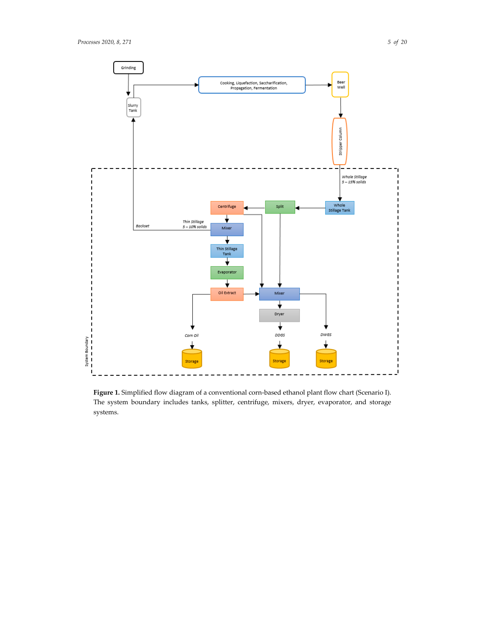

**Figure 1.** Simplified flow diagram of a conventional corn-based ethanol plant flow chart (Scenario I). The system boundary includes tanks, splitter, centrifuge, mixers, dryer, evaporator, and storage systems.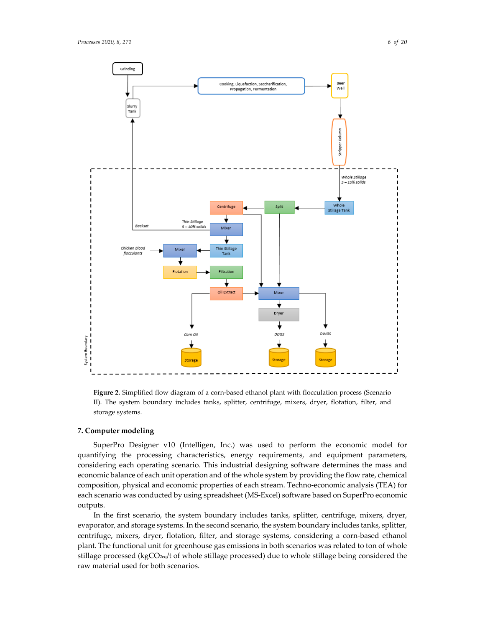



**Figure 2.** Simplified flow diagram of a corn-based ethanol plant with flocculation process (Scenario II). The system boundary includes tanks, splitter, centrifuge, mixers, dryer, flotation, filter, and storage systems.

#### **7. Computer modeling**

SuperPro Designer v10 (Intelligen, Inc.) was used to perform the economic model for quantifying the processing characteristics, energy requirements, and equipment parameters, considering each operating scenario. This industrial designing software determines the mass and economic balance of each unit operation and of the whole system by providing the flow rate, chemical composition, physical and economic properties of each stream. Techno-economic analysis (TEA) for each scenario was conducted by using spreadsheet (MS-Excel) software based on SuperPro economic outputs.

In the first scenario, the system boundary includes tanks, splitter, centrifuge, mixers, dryer, evaporator, and storage systems. In the second scenario, the system boundary includes tanks, splitter, centrifuge, mixers, dryer, flotation, filter, and storage systems, considering a corn-based ethanol plant. The functional unit for greenhouse gas emissions in both scenarios was related to ton of whole stillage processed (kgCO2eq/t of whole stillage processed) due to whole stillage being considered the raw material used for both scenarios.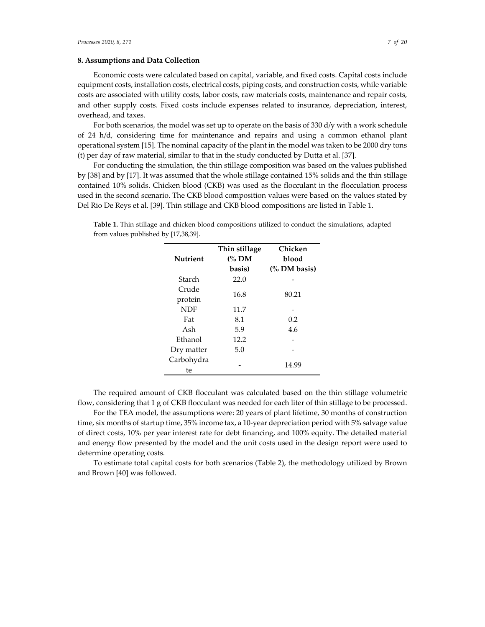#### **8. Assumptions and Data Collection**

Economic costs were calculated based on capital, variable, and fixed costs. Capital costs include equipment costs, installation costs, electrical costs, piping costs, and construction costs, while variable costs are associated with utility costs, labor costs, raw materials costs, maintenance and repair costs, and other supply costs. Fixed costs include expenses related to insurance, depreciation, interest, overhead, and taxes.

For both scenarios, the model was set up to operate on the basis of 330 d/y with a work schedule of 24 h/d, considering time for maintenance and repairs and using a common ethanol plant operational system [15]. The nominal capacity of the plant in the model was taken to be 2000 dry tons (t) per day of raw material, similar to that in the study conducted by Dutta et al. [37].

For conducting the simulation, the thin stillage composition was based on the values published by [38] and by [17]. It was assumed that the whole stillage contained 15% solids and the thin stillage contained 10% solids. Chicken blood (CKB) was used as the flocculant in the flocculation process used in the second scenario. The CKB blood composition values were based on the values stated by Del Rio De Reys et al. [39]. Thin stillage and CKB blood compositions are listed in Table 1.

| <b>Nutrient</b>  | Thin stillage<br>$\frac{60}{3}$ DM | Chicken<br>blood        |  |
|------------------|------------------------------------|-------------------------|--|
|                  | basis)                             | $\frac{6}{2}$ DM basis) |  |
| Starch           | 22.0                               |                         |  |
| Crude            | 16.8                               | 80.21                   |  |
| protein          |                                    |                         |  |
| NDF              | 11.7                               |                         |  |
| Fat              | 8.1                                | 0.2                     |  |
| Ash              | 5.9                                | 4.6                     |  |
| Ethanol          | 12.2                               |                         |  |
| Dry matter       | 5.0                                |                         |  |
| Carbohydra<br>te |                                    | 14.99                   |  |

**Table 1.** Thin stillage and chicken blood compositions utilized to conduct the simulations, adapted from values published by [17,38,39].

The required amount of CKB flocculant was calculated based on the thin stillage volumetric flow, considering that 1 g of CKB flocculant was needed for each liter of thin stillage to be processed.

For the TEA model, the assumptions were: 20 years of plant lifetime, 30 months of construction time, six months of startup time, 35% income tax, a 10-year depreciation period with 5% salvage value of direct costs, 10% per year interest rate for debt financing, and 100% equity. The detailed material and energy flow presented by the model and the unit costs used in the design report were used to determine operating costs.

To estimate total capital costs for both scenarios (Table 2), the methodology utilized by Brown and Brown [40] was followed.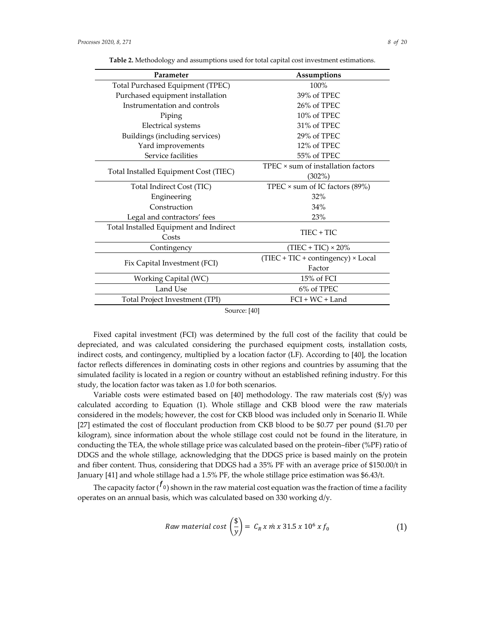| Parameter                              | Assumptions                               |  |  |  |
|----------------------------------------|-------------------------------------------|--|--|--|
| Total Purchased Equipment (TPEC)       | 100%                                      |  |  |  |
| Purchased equipment installation       | 39% of TPEC                               |  |  |  |
| Instrumentation and controls           | 26% of TPEC                               |  |  |  |
| Piping                                 | 10% of TPEC                               |  |  |  |
| <b>Electrical systems</b>              | 31% of TPEC                               |  |  |  |
| Buildings (including services)         | 29% of TPEC                               |  |  |  |
| Yard improvements                      | 12% of TPEC                               |  |  |  |
| Service facilities                     | 55% of TPEC                               |  |  |  |
|                                        | TPEC × sum of installation factors        |  |  |  |
| Total Installed Equipment Cost (TIEC)  | $(302\%)$                                 |  |  |  |
| Total Indirect Cost (TIC)              | TPEC $\times$ sum of IC factors (89%)     |  |  |  |
| Engineering                            | 32%                                       |  |  |  |
| Construction                           | 34%                                       |  |  |  |
| Legal and contractors' fees            | 23%                                       |  |  |  |
| Total Installed Equipment and Indirect | TIEC + TIC                                |  |  |  |
| Costs                                  |                                           |  |  |  |
| Contingency                            | $(TIEC + TIC) \times 20\%$                |  |  |  |
|                                        | $(TIEC + TIC + contingency) \times Local$ |  |  |  |
| Fix Capital Investment (FCI)           | Factor                                    |  |  |  |
| Working Capital (WC)                   | 15% of FCI                                |  |  |  |
| Land Use                               | 6% of TPEC                                |  |  |  |
| Total Project Investment (TPI)         | $FCI + WC + Land$                         |  |  |  |
| $S_{\Omega 11}$ rco $\cdot$ [40]       |                                           |  |  |  |

**Table 2.** Methodology and assumptions used for total capital cost investment estimations.

Source: [40]

Fixed capital investment (FCI) was determined by the full cost of the facility that could be depreciated, and was calculated considering the purchased equipment costs, installation costs, indirect costs, and contingency, multiplied by a location factor (LF). According to [40], the location factor reflects differences in dominating costs in other regions and countries by assuming that the simulated facility is located in a region or country without an established refining industry. For this study, the location factor was taken as 1.0 for both scenarios.

Variable costs were estimated based on [40] methodology. The raw materials cost  $(\frac{f}{y})$  was calculated according to Equation (1). Whole stillage and CKB blood were the raw materials considered in the models; however, the cost for CKB blood was included only in Scenario II. While [27] estimated the cost of flocculant production from CKB blood to be \$0.77 per pound (\$1.70 per kilogram), since information about the whole stillage cost could not be found in the literature, in conducting the TEA, the whole stillage price was calculated based on the protein–fiber (%PF) ratio of DDGS and the whole stillage, acknowledging that the DDGS price is based mainly on the protein and fiber content. Thus, considering that DDGS had a 35% PF with an average price of \$150.00/t in January [41] and whole stillage had a 1.5% PF, the whole stillage price estimation was \$6.43/t.

The capacity factor ( $^{\prime}$ <sub>0</sub>) shown in the raw material cost equation was the fraction of time a facility operates on an annual basis, which was calculated based on 330 working d/y.

$$
Raw material cost \left(\frac{\$}{y}\right) = C_R x \, \text{m} \, x \, 31.5 \, x \, 10^6 \, x \, f_0 \tag{1}
$$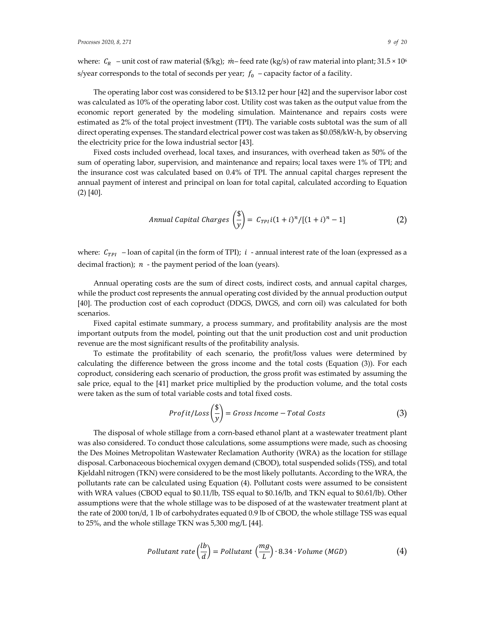where:  $C_R$  – unit cost of raw material (\$/kg);  $\dot{m}$ – feed rate (kg/s) of raw material into plant; 31.5 × 10<sup>6</sup> s/year corresponds to the total of seconds per year;  $f_0$  – capacity factor of a facility.

The operating labor cost was considered to be \$13.12 per hour [42] and the supervisor labor cost was calculated as 10% of the operating labor cost. Utility cost was taken as the output value from the economic report generated by the modeling simulation. Maintenance and repairs costs were estimated as 2% of the total project investment (TPI). The variable costs subtotal was the sum of all direct operating expenses. The standard electrical power cost was taken as \$0.058/kW-h, by observing the electricity price for the Iowa industrial sector [43].

Fixed costs included overhead, local taxes, and insurances, with overhead taken as 50% of the sum of operating labor, supervision, and maintenance and repairs; local taxes were 1% of TPI; and the insurance cost was calculated based on 0.4% of TPI. The annual capital charges represent the annual payment of interest and principal on loan for total capital, calculated according to Equation (2) [40].

$$
Annual Capital Charges\left(\frac{\$}{y}\right) = C_{TPI}i(1+i)^n/[(1+i)^n-1]
$$
\n(2)

where:  $C_{TPI}$  – loan of capital (in the form of TPI);  $i$  - annual interest rate of the loan (expressed as a decimal fraction);  $n -$  the payment period of the loan (years).

Annual operating costs are the sum of direct costs, indirect costs, and annual capital charges, while the product cost represents the annual operating cost divided by the annual production output [40]. The production cost of each coproduct (DDGS, DWGS, and corn oil) was calculated for both scenarios.

Fixed capital estimate summary, a process summary, and profitability analysis are the most important outputs from the model, pointing out that the unit production cost and unit production revenue are the most significant results of the profitability analysis.

To estimate the profitability of each scenario, the profit/loss values were determined by calculating the difference between the gross income and the total costs (Equation (3)). For each coproduct, considering each scenario of production, the gross profit was estimated by assuming the sale price, equal to the [41] market price multiplied by the production volume, and the total costs were taken as the sum of total variable costs and total fixed costs.

$$
Profit/Loss\left(\frac{\$}{y}\right) = Gross Income - Total Costs
$$
 (3)

The disposal of whole stillage from a corn-based ethanol plant at a wastewater treatment plant was also considered. To conduct those calculations, some assumptions were made, such as choosing the Des Moines Metropolitan Wastewater Reclamation Authority (WRA) as the location for stillage disposal. Carbonaceous biochemical oxygen demand (CBOD), total suspended solids (TSS), and total Kjeldahl nitrogen (TKN) were considered to be the most likely pollutants. According to the WRA, the pollutants rate can be calculated using Equation (4). Pollutant costs were assumed to be consistent with WRA values (CBOD equal to \$0.11/lb, TSS equal to \$0.16/lb, and TKN equal to \$0.61/lb). Other assumptions were that the whole stillage was to be disposed of at the wastewater treatment plant at the rate of 2000 ton/d, 1 lb of carbohydrates equated 0.9 lb of CBOD, the whole stillage TSS was equal to 25%, and the whole stillage TKN was 5,300 mg/L [44].

$$
Pollutant rate \left(\frac{lb}{d}\right) = Pollutant \left(\frac{mg}{L}\right) \cdot 8.34 \cdot Volume (MGD) \tag{4}
$$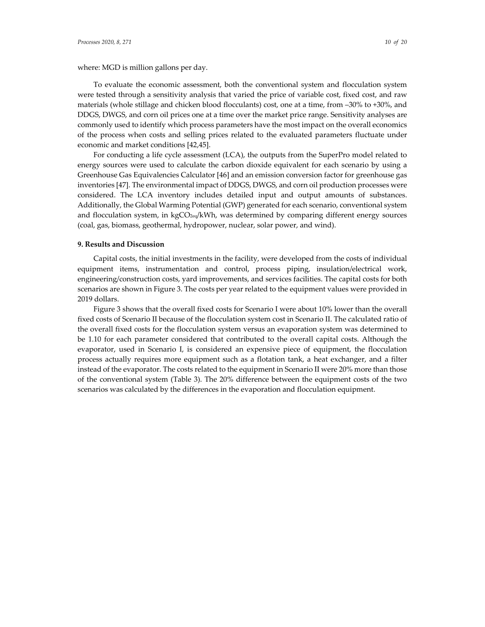economic and market conditions [42,45].

To evaluate the economic assessment, both the conventional system and flocculation system were tested through a sensitivity analysis that varied the price of variable cost, fixed cost, and raw materials (whole stillage and chicken blood flocculants) cost, one at a time, from -30% to +30%, and DDGS, DWGS, and corn oil prices one at a time over the market price range. Sensitivity analyses are commonly used to identify which process parameters have the most impact on the overall economics of the process when costs and selling prices related to the evaluated parameters fluctuate under

For conducting a life cycle assessment (LCA), the outputs from the SuperPro model related to energy sources were used to calculate the carbon dioxide equivalent for each scenario by using a Greenhouse Gas Equivalencies Calculator [46] and an emission conversion factor for greenhouse gas inventories [47]. The environmental impact of DDGS, DWGS, and corn oil production processes were considered. The LCA inventory includes detailed input and output amounts of substances. Additionally, the Global Warming Potential (GWP) generated for each scenario, conventional system and flocculation system, in kgCO<sub>2eq</sub>/kWh, was determined by comparing different energy sources (coal, gas, biomass, geothermal, hydropower, nuclear, solar power, and wind).

#### **9. Results and Discussion**

Capital costs, the initial investments in the facility, were developed from the costs of individual equipment items, instrumentation and control, process piping, insulation/electrical work, engineering/construction costs, yard improvements, and services facilities. The capital costs for both scenarios are shown in Figure 3. The costs per year related to the equipment values were provided in 2019 dollars.

Figure 3 shows that the overall fixed costs for Scenario I were about 10% lower than the overall fixed costs of Scenario II because of the flocculation system cost in Scenario II. The calculated ratio of the overall fixed costs for the flocculation system versus an evaporation system was determined to be 1.10 for each parameter considered that contributed to the overall capital costs. Although the evaporator, used in Scenario I, is considered an expensive piece of equipment, the flocculation process actually requires more equipment such as a flotation tank, a heat exchanger, and a filter instead of the evaporator. The costs related to the equipment in Scenario II were 20% more than those of the conventional system (Table 3). The 20% difference between the equipment costs of the two scenarios was calculated by the differences in the evaporation and flocculation equipment.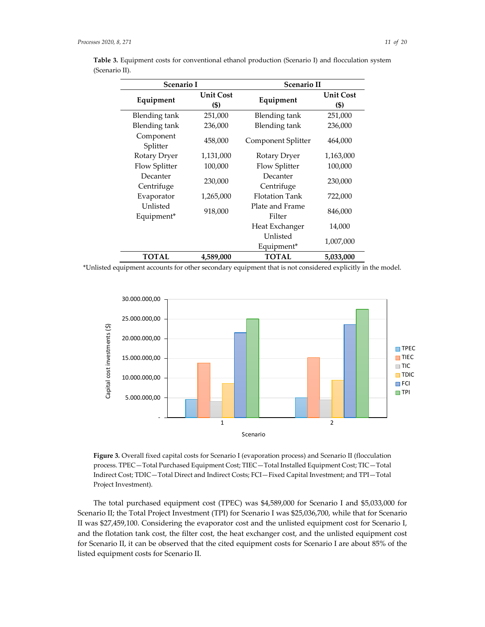Unlisted

| Scenario I             |                          | Scenario II            |                          |
|------------------------|--------------------------|------------------------|--------------------------|
| Equipment              | <b>Unit Cost</b><br>(\$) | Equipment              | <b>Unit Cost</b><br>(\$) |
| <b>Blending</b> tank   | 251,000                  | Blending tank          | 251,000                  |
| Blending tank          | 236,000                  | Blending tank          | 236,000                  |
| Component<br>Splitter  | 458,000                  | Component Splitter     | 464,000                  |
| Rotary Dryer           | 1,131,000                | Rotary Dryer           | 1,163,000                |
| Flow Splitter          | 100,000                  | Flow Splitter          | 100,000                  |
| Decanter<br>Centrifuge | 230,000                  | Decanter<br>Centrifuge | 230,000                  |

Unlisted

846,000

Heat Exchanger 14,000

Equipment\* 1,007,000

**Table 3.** Equipment costs for conventional ethanol production (Scenario I) and flocculation system (Scenario II).

\*Unlisted equipment accounts for other secondary equipment that is not considered explicitly in the model.

**TOTAL 4,589,000 TOTAL 5,033,000**

Evaporator 1,265,000 Flotation Tank 722,000

Unlisted Plate and Frame<br>Equipment\* 918,000 Plate and Frame



**Figure 3***.* Overall fixed capital costs for Scenario I (evaporation process) and Scenario II (flocculation process. TPEC—Total Purchased Equipment Cost; TIEC—Total Installed Equipment Cost; TIC—Total Indirect Cost; TDIC—Total Direct and Indirect Costs; FCI—Fixed Capital Investment; and TPI—Total Project Investment).

The total purchased equipment cost (TPEC) was \$4,589,000 for Scenario I and \$5,033,000 for Scenario II; the Total Project Investment (TPI) for Scenario I was \$25,036,700, while that for Scenario II was \$27,459,100. Considering the evaporator cost and the unlisted equipment cost for Scenario I, and the flotation tank cost, the filter cost, the heat exchanger cost, and the unlisted equipment cost for Scenario II, it can be observed that the cited equipment costs for Scenario I are about 85% of the listed equipment costs for Scenario II.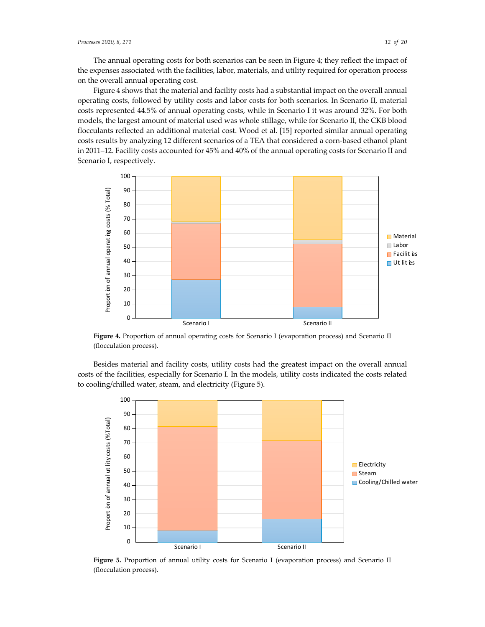The annual operating costs for both scenarios can be seen in Figure 4; they reflect the impact of the expenses associated with the facilities, labor, materials, and utility required for operation process on the overall annual operating cost.

Figure 4 shows that the material and facility costs had a substantial impact on the overall annual operating costs, followed by utility costs and labor costs for both scenarios. In Scenario II, material costs represented 44.5% of annual operating costs, while in Scenario I it was around 32%. For both models, the largest amount of material used was whole stillage, while for Scenario II, the CKB blood flocculants reflected an additional material cost. Wood et al. [15] reported similar annual operating costs results by analyzing 12 different scenarios of a TEA that considered a corn-based ethanol plant in 2011–12. Facility costs accounted for 45% and 40% of the annual operating costs for Scenario II and Scenario I, respectively.



**Figure 4.** Proportion of annual operating costs for Scenario I (evaporation process) and Scenario II (flocculation process).

Besides material and facility costs, utility costs had the greatest impact on the overall annual costs of the facilities, especially for Scenario I. In the models, utility costs indicated the costs related to cooling/chilled water, steam, and electricity (Figure 5).



**Figure 5.** Proportion of annual utility costs for Scenario I (evaporation process) and Scenario II (flocculation process).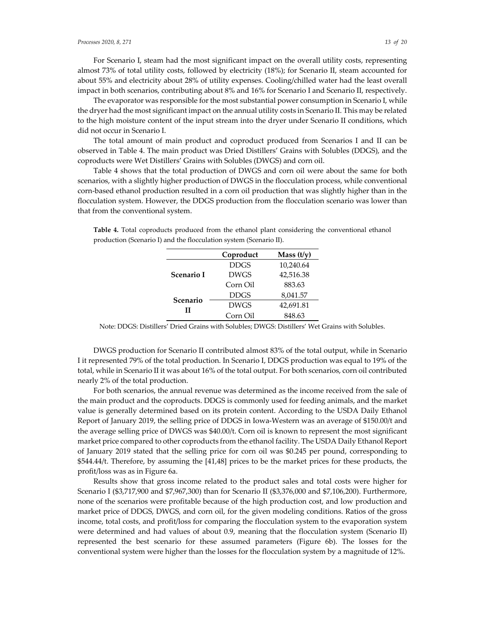For Scenario I, steam had the most significant impact on the overall utility costs, representing almost 73% of total utility costs, followed by electricity (18%); for Scenario II, steam accounted for about 55% and electricity about 28% of utility expenses. Cooling/chilled water had the least overall impact in both scenarios, contributing about 8% and 16% for Scenario I and Scenario II, respectively.

The evaporator was responsible for the most substantial power consumption in Scenario I, while the dryer had the most significant impact on the annual utility costs in Scenario II. This may be related to the high moisture content of the input stream into the dryer under Scenario II conditions, which did not occur in Scenario I.

The total amount of main product and coproduct produced from Scenarios I and II can be observed in Table 4. The main product was Dried Distillers' Grains with Solubles (DDGS), and the coproducts were Wet Distillers' Grains with Solubles (DWGS) and corn oil.

Table 4 shows that the total production of DWGS and corn oil were about the same for both scenarios, with a slightly higher production of DWGS in the flocculation process, while conventional corn-based ethanol production resulted in a corn oil production that was slightly higher than in the flocculation system. However, the DDGS production from the flocculation scenario was lower than that from the conventional system.

|               | Coproduct   | Mass $(t/y)$ |
|---------------|-------------|--------------|
|               | <b>DDGS</b> | 10,240.64    |
| Scenario I    | <b>DWGS</b> | 42,516.38    |
|               | Corn Oil    | 883.63       |
| Scenario<br>Н | <b>DDGS</b> | 8,041.57     |
|               | <b>DWGS</b> | 42,691.81    |
|               | Corn Oil    | 848.63       |

**Table 4.** Total coproducts produced from the ethanol plant considering the conventional ethanol production (Scenario I) and the flocculation system (Scenario II).

Note: DDGS: Distillers' Dried Grains with Solubles; DWGS: Distillers' Wet Grains with Solubles.

DWGS production for Scenario II contributed almost 83% of the total output, while in Scenario I it represented 79% of the total production. In Scenario I, DDGS production was equal to 19% of the total, while in Scenario II it was about 16% of the total output. For both scenarios, corn oil contributed nearly 2% of the total production.

For both scenarios, the annual revenue was determined as the income received from the sale of the main product and the coproducts. DDGS is commonly used for feeding animals, and the market value is generally determined based on its protein content. According to the USDA Daily Ethanol Report of January 2019, the selling price of DDGS in Iowa-Western was an average of \$150.00/t and the average selling price of DWGS was \$40.00/t. Corn oil is known to represent the most significant market price compared to other coproducts from the ethanol facility. The USDA Daily Ethanol Report of January 2019 stated that the selling price for corn oil was \$0.245 per pound, corresponding to \$544.44/t. Therefore, by assuming the [41,48] prices to be the market prices for these products, the profit/loss was as in Figure 6a.

Results show that gross income related to the product sales and total costs were higher for Scenario I (\$3,717,900 and \$7,967,300) than for Scenario II (\$3,376,000 and \$7,106,200). Furthermore, none of the scenarios were profitable because of the high production cost, and low production and market price of DDGS, DWGS, and corn oil, for the given modeling conditions. Ratios of the gross income, total costs, and profit/loss for comparing the flocculation system to the evaporation system were determined and had values of about 0.9, meaning that the flocculation system (Scenario II) represented the best scenario for these assumed parameters (Figure 6b). The losses for the conventional system were higher than the losses for the flocculation system by a magnitude of 12%.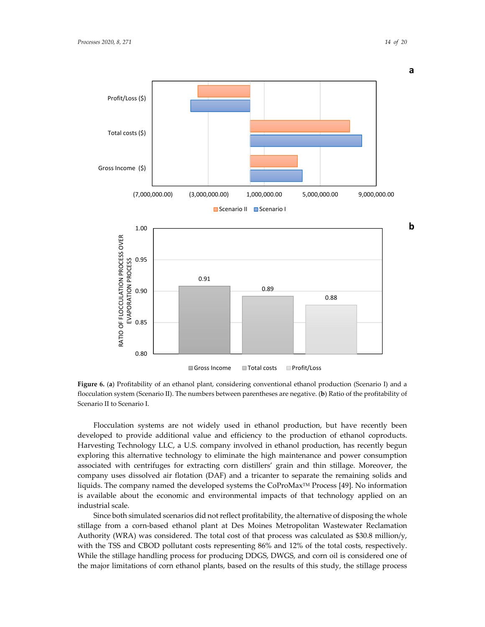

 $\Box$  Gross Income  $\Box$  Total costs  $\Box$  Profit/Loss

**Figure 6.** (**a**) Profitability of an ethanol plant, considering conventional ethanol production (Scenario I) and a flocculation system (Scenario II). The numbers between parentheses are negative. (**b**) Ratio of the profitability of Scenario II to Scenario I.

Flocculation systems are not widely used in ethanol production, but have recently been developed to provide additional value and efficiency to the production of ethanol coproducts. Harvesting Technology LLC, a U.S. company involved in ethanol production, has recently begun exploring this alternative technology to eliminate the high maintenance and power consumption associated with centrifuges for extracting corn distillers' grain and thin stillage. Moreover, the company uses dissolved air flotation (DAF) and a tricanter to separate the remaining solids and liquids. The company named the developed systems the CoProMax<sup>TM</sup> Process [49]. No information is available about the economic and environmental impacts of that technology applied on an industrial scale.

Since both simulated scenarios did not reflect profitability, the alternative of disposing the whole stillage from a corn-based ethanol plant at Des Moines Metropolitan Wastewater Reclamation Authority (WRA) was considered. The total cost of that process was calculated as \$30.8 million/y, with the TSS and CBOD pollutant costs representing 86% and 12% of the total costs, respectively. While the stillage handling process for producing DDGS, DWGS, and corn oil is considered one of the major limitations of corn ethanol plants, based on the results of this study, the stillage process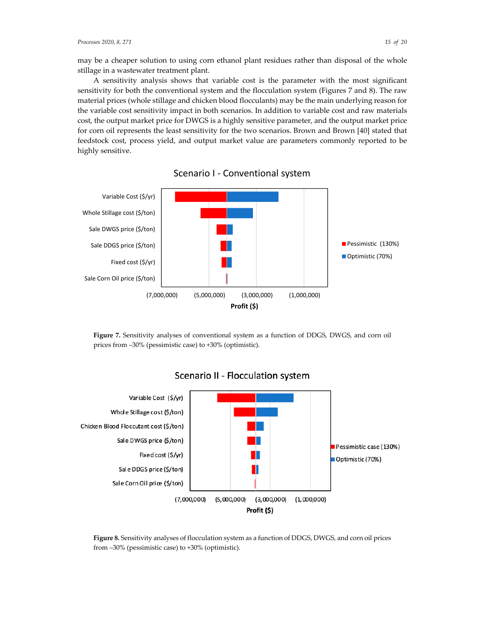may be a cheaper solution to using corn ethanol plant residues rather than disposal of the whole stillage in a wastewater treatment plant.

A sensitivity analysis shows that variable cost is the parameter with the most significant sensitivity for both the conventional system and the flocculation system (Figures 7 and 8). The raw material prices (whole stillage and chicken blood flocculants) may be the main underlying reason for the variable cost sensitivity impact in both scenarios. In addition to variable cost and raw materials cost, the output market price for DWGS is a highly sensitive parameter, and the output market price for corn oil represents the least sensitivity for the two scenarios. Brown and Brown [40] stated that feedstock cost, process yield, and output market value are parameters commonly reported to be highly sensitive.



Scenario I - Conventional system

**Figure 7.** Sensitivity analyses of conventional system as a function of DDGS, DWGS, and corn oil prices from ‒30% (pessimistic case) to +30% (optimistic).



# Scenario II - Flocculation system

**Figure 8.** Sensitivity analyses of flocculation system as a function of DDGS, DWGS, and corn oil prices from ‒30% (pessimistic case) to +30% (optimistic).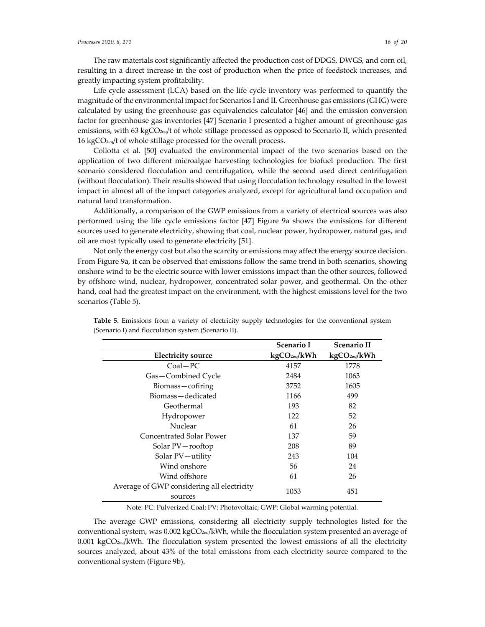The raw materials cost significantly affected the production cost of DDGS, DWGS, and corn oil, resulting in a direct increase in the cost of production when the price of feedstock increases, and greatly impacting system profitability.

Life cycle assessment (LCA) based on the life cycle inventory was performed to quantify the magnitude of the environmental impact for Scenarios I and II. Greenhouse gas emissions (GHG) were calculated by using the greenhouse gas equivalencies calculator [46] and the emission conversion factor for greenhouse gas inventories [47] Scenario I presented a higher amount of greenhouse gas emissions, with 63 kgCO2eq/t of whole stillage processed as opposed to Scenario II, which presented 16 kgCO2eq/t of whole stillage processed for the overall process.

Collotta et al. [50] evaluated the environmental impact of the two scenarios based on the application of two different microalgae harvesting technologies for biofuel production. The first scenario considered flocculation and centrifugation, while the second used direct centrifugation (without flocculation). Their results showed that using flocculation technology resulted in the lowest impact in almost all of the impact categories analyzed, except for agricultural land occupation and natural land transformation.

Additionally, a comparison of the GWP emissions from a variety of electrical sources was also performed using the life cycle emissions factor [47] Figure 9a shows the emissions for different sources used to generate electricity, showing that coal, nuclear power, hydropower, natural gas, and oil are most typically used to generate electricity [51].

Not only the energy cost but also the scarcity or emissions may affect the energy source decision. From Figure 9a, it can be observed that emissions follow the same trend in both scenarios, showing onshore wind to be the electric source with lower emissions impact than the other sources, followed by offshore wind, nuclear, hydropower, concentrated solar power, and geothermal. On the other hand, coal had the greatest impact on the environment, with the highest emissions level for the two scenarios (Table 5).

|                                                       | Scenario I               | <b>Scenario II</b>       |
|-------------------------------------------------------|--------------------------|--------------------------|
| <b>Electricity source</b>                             | kgCO <sub>2eq</sub> /kWh | kgCO <sub>2eq</sub> /kWh |
| $Coal-PC$                                             | 4157                     | 1778                     |
| Gas-Combined Cycle                                    | 2484                     | 1063                     |
| Biomass-cofiring                                      | 3752                     | 1605                     |
| Biomass-dedicated                                     | 1166                     | 499                      |
| Geothermal                                            | 193                      | 82                       |
| Hydropower                                            | 122                      | 52                       |
| Nuclear                                               | 61                       | 26                       |
| Concentrated Solar Power                              | 137                      | 59                       |
| Solar PV-rooftop                                      | 208                      | 89                       |
| Solar PV-utility                                      | 243                      | 104                      |
| Wind onshore                                          | 56                       | 24                       |
| Wind offshore                                         | 61                       | 26                       |
| Average of GWP considering all electricity<br>sources | 1053                     | 451                      |

**Table 5.** Emissions from a variety of electricity supply technologies for the conventional system (Scenario I) and flocculation system (Scenario II).

Note: PC: Pulverized Coal; PV: Photovoltaic; GWP: Global warming potential.

The average GWP emissions, considering all electricity supply technologies listed for the conventional system, was 0.002 kgCO<sub>2eq</sub>/kWh, while the flocculation system presented an average of 0.001 kgCO $_{eq}$ /kWh. The flocculation system presented the lowest emissions of all the electricity sources analyzed, about 43% of the total emissions from each electricity source compared to the conventional system (Figure 9b).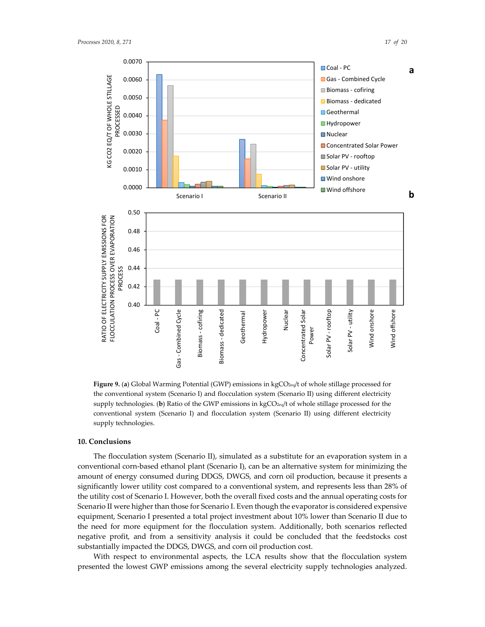



**Figure 9. (a) Global Warming Potential (GWP) emissions in kgCO<sub>2eq</sub>/t of whole stillage processed for** the conventional system (Scenario I) and flocculation system (Scenario II) using different electricity supply technologies. (**b**) Ratio of the GWP emissions in kgCO<sub>2eq</sub>/t of whole stillage processed for the conventional system (Scenario I) and flocculation system (Scenario II) using different electricity supply technologies.

#### **10. Conclusions**

The flocculation system (Scenario II), simulated as a substitute for an evaporation system in a conventional corn-based ethanol plant (Scenario I), can be an alternative system for minimizing the amount of energy consumed during DDGS, DWGS, and corn oil production, because it presents a significantly lower utility cost compared to a conventional system, and represents less than 28% of the utility cost of Scenario I. However, both the overall fixed costs and the annual operating costs for Scenario II were higher than those for Scenario I. Even though the evaporator is considered expensive equipment, Scenario I presented a total project investment about 10% lower than Scenario II due to the need for more equipment for the flocculation system. Additionally, both scenarios reflected negative profit, and from a sensitivity analysis it could be concluded that the feedstocks cost substantially impacted the DDGS, DWGS, and corn oil production cost.

With respect to environmental aspects, the LCA results show that the flocculation system presented the lowest GWP emissions among the several electricity supply technologies analyzed.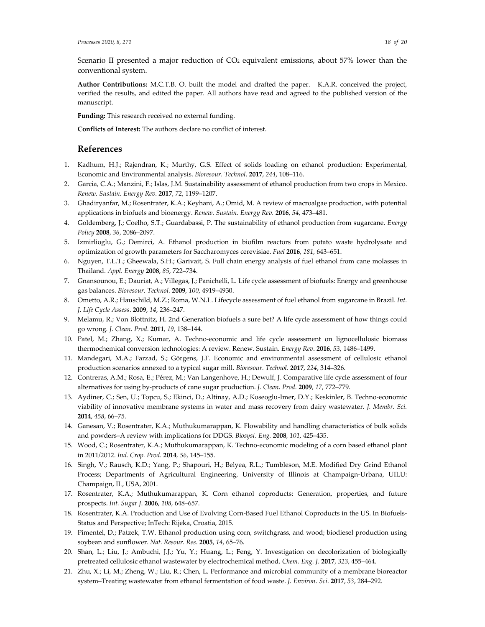Scenario II presented a major reduction of CO<sub>2</sub> equivalent emissions, about 57% lower than the conventional system.

**Author Contributions:** M.C.T.B. O. built the model and drafted the paper. K.A.R. conceived the project, verified the results, and edited the paper. All authors have read and agreed to the published version of the manuscript.

**Funding:** This research received no external funding.

**Conflicts of Interest:** The authors declare no conflict of interest.

## **References**

- 1. Kadhum, H.J.; Rajendran, K.; Murthy, G.S. Effect of solids loading on ethanol production: Experimental, Economic and Environmental analysis. *Bioresour. Technol*. **2017**, *244*, 108–116.
- 2. Garcia, C.A.; Manzini, F.; Islas, J.M. Sustainability assessment of ethanol production from two crops in Mexico. *Renew. Sustain. Energy Rev.* **2017**, *72*, 1199–1207.
- 3. Ghadiryanfar, M.; Rosentrater, K.A.; Keyhani, A.; Omid, M. A review of macroalgae production, with potential applications in biofuels and bioenergy. *Renew. Sustain. Energy Rev.* **2016**, *54*, 473–481.
- 4. Goldemberg, J.; Coelho, S.T.; Guardabassi, P. The sustainability of ethanol production from sugarcane. *Energy Policy* **2008**, *36*, 2086–2097.
- 5. Izmirlioglu, G.; Demirci, A. Ethanol production in biofilm reactors from potato waste hydrolysate and optimization of growth parameters for Saccharomyces cerevisiae. *Fuel* **2016**, *181*, 643–651.
- 6. Nguyen, T.L.T.; Gheewala, S.H.; Garivait, S. Full chain energy analysis of fuel ethanol from cane molasses in Thailand. *Appl. Energy* **2008**, *85*, 722–734.
- 7. Gnansounou, E.; Dauriat, A.; Villegas, J.; Panichelli, L. Life cycle assessment of biofuels: Energy and greenhouse gas balances. *Bioresour. Technol.* **2009**, *100*, 4919–4930.
- 8. Ometto, A.R.; Hauschild, M.Z.; Roma, W.N.L. Lifecycle assessment of fuel ethanol from sugarcane in Brazil. *Int. J. Life Cycle Assess*. **2009**, *14*, 236–247.
- 9. Melamu, R.; Von Blottnitz, H. 2nd Generation biofuels a sure bet? A life cycle assessment of how things could go wrong*. J. Clean. Prod*. **2011**, *19*, 138–144.
- 10. Patel, M.; Zhang, X.; Kumar, A. Techno-economic and life cycle assessment on lignocellulosic biomass thermochemical conversion technologies: A review. Renew. Sustain. *Energy Rev*. **2016**, *53*, 1486–1499.
- 11. Mandegari, M.A.; Farzad, S.; Görgens, J.F. Economic and environmental assessment of cellulosic ethanol production scenarios annexed to a typical sugar mill. *Bioresour. Technol*. **2017**, *224*, 314–326.
- 12. Contreras, A.M.; Rosa, E.; Pérez, M.; Van Langenhove, H.; Dewulf, J. Comparative life cycle assessment of four alternatives for using by-products of cane sugar production. *J. Clean. Prod.* **2009**, *17*, 772–779.
- 13. Aydiner, C.; Sen, U.; Topcu, S.; Ekinci, D.; Altinay, A.D.; Koseoglu-Imer, D.Y.; Keskinler, B. Techno-economic viability of innovative membrane systems in water and mass recovery from dairy wastewater. *J. Membr. Sci.*  **2014**, *458*, 66–75.
- 14. Ganesan, V.; Rosentrater, K.A.; Muthukumarappan, K. Flowability and handling characteristics of bulk solids and powders–A review with implications for DDGS. *Biosyst. Eng.* **2008**, *101*, 425–435.
- 15. Wood, C.; Rosentrater, K.A.; Muthukumarappan, K. Techno-economic modeling of a corn based ethanol plant in 2011/2012. *Ind. Crop. Prod*. **2014***, 56*, 145–155.
- 16. Singh, V.; Rausch, K.D.; Yang, P.; Shapouri, H.; Belyea, R.L.; Tumbleson, M.E. Modified Dry Grind Ethanol Process; Departments of Agricultural Engineering, University of Illinois at Champaign-Urbana, UILU: Champaign, IL, USA, 2001.
- 17. Rosentrater, K.A.; Muthukumarappan, K. Corn ethanol coproducts: Generation, properties, and future prospects. *Int. Sugar J*. **2006**, *108*, 648–657.
- 18. Rosentrater, K.A. Production and Use of Evolving Corn-Based Fuel Ethanol Coproducts in the US. In Biofuels-Status and Perspective; InTech: Rijeka, Croatia, 2015.
- 19. Pimentel, D.; Patzek, T.W. Ethanol production using corn, switchgrass, and wood; biodiesel production using soybean and sunflower. *Nat. Resour. Res*. **2005**, *14*, 65–76.
- 20. Shan, L.; Liu, J.; Ambuchi, J.J.; Yu, Y.; Huang, L.; Feng, Y. Investigation on decolorization of biologically pretreated cellulosic ethanol wastewater by electrochemical method. *Chem. Eng. J*. **2017**, *323*, 455–464.
- 21. Zhu, X.; Li, M.; Zheng, W.; Liu, R.; Chen, L. Performance and microbial community of a membrane bioreactor system–Treating wastewater from ethanol fermentation of food waste. *J. Environ. Sci*. **2017**, *53*, 284–292.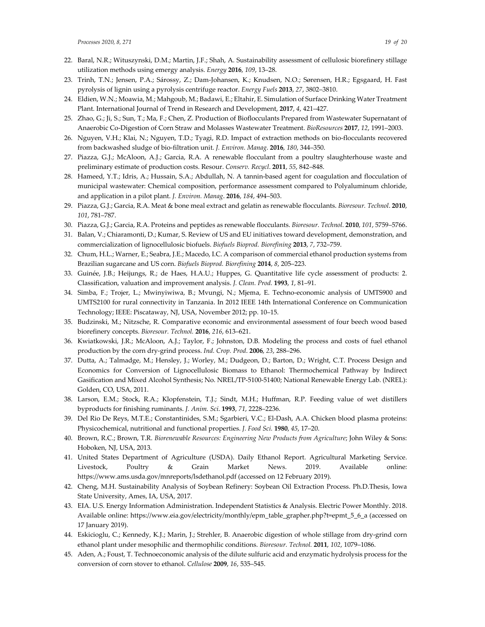- 22. Baral, N.R.; Wituszynski, D.M.; Martin, J.F.; Shah, A. Sustainability assessment of cellulosic biorefinery stillage utilization methods using emergy analysis. *Energy* **2016**, *109*, 13–28.
- 23. Trinh, T.N.; Jensen, P.A.; Sárossy, Z.; Dam-Johansen, K.; Knudsen, N.O.; Sørensen, H.R.; Egsgaard, H. Fast pyrolysis of lignin using a pyrolysis centrifuge reactor. *Energy Fuels* **2013**, *27*, 3802–3810.
- 24. Eldien, W.N.; Moawia, M.; Mahgoub, M.; Badawi, E.; Eltahir, E. Simulation of Surface Drinking Water Treatment Plant. International Journal of Trend in Research and Development, **2017**, *4*, 421–427.
- 25. Zhao, G.; Ji, S.; Sun, T.; Ma, F.; Chen, Z. Production of Bioflocculants Prepared from Wastewater Supernatant of Anaerobic Co-Digestion of Corn Straw and Molasses Wastewater Treatment. *BioResources* **2017**, *12*, 1991–2003.
- 26. Nguyen, V.H.; Klai, N.; Nguyen, T.D.; Tyagi, R.D. Impact of extraction methods on bio-flocculants recovered from backwashed sludge of bio-filtration unit. *J. Environ. Manag*. **2016**, *180*, 344–350.
- 27. Piazza, G.J.; McAloon, A.J.; Garcia, R.A. A renewable flocculant from a poultry slaughterhouse waste and preliminary estimate of production costs. Resour. *Conserv. Recycl*. **2011**, *55*, 842–848.
- 28. Hameed, Y.T.; Idris, A.; Hussain, S.A.; Abdullah, N. A tannin-based agent for coagulation and flocculation of municipal wastewater: Chemical composition, performance assessment compared to Polyaluminum chloride, and application in a pilot plant. *J. Environ. Manag*. **2016**, *184*, 494–503.
- 29. Piazza, G.J.; Garcia, R.A. Meat & bone meal extract and gelatin as renewable flocculants. *Bioresour. Technol*. **2010**, *101*, 781–787.
- 30. Piazza, G.J.; Garcia, R.A. Proteins and peptides as renewable flocculants. *Bioresour. Technol*. **2010**, *101*, 5759–5766.
- 31. Balan, V.; Chiaramonti, D.; Kumar, S. Review of US and EU initiatives toward development, demonstration, and commercialization of lignocellulosic biofuels. *Biofuels Bioprod. Biorefining* **2013**, *7*, 732–759.
- 32. Chum, H.L.; Warner, E.; Seabra, J.E.; Macedo, I.C. A comparison of commercial ethanol production systems from Brazilian sugarcane and US corn. *Biofuels Bioprod. Biorefining* **2014**, *8*, 205–223.
- 33. Guinée, J.B.; Heijungs, R.; de Haes, H.A.U.; Huppes, G. Quantitative life cycle assessment of products: 2. Classification, valuation and improvement analysis. *J. Clean. Prod.* **1993**, *1*, 81–91.
- 34. Simba, F.; Trojer, L.; Mwinyiwiwa, B.; Mvungi, N.; Mjema, E. Techno-economic analysis of UMTS900 and UMTS2100 for rural connectivity in Tanzania. In 2012 IEEE 14th International Conference on Communication Technology; IEEE: Piscataway, NJ, USA, November 2012; pp. 10–15.
- 35. Budzinski, M.; Nitzsche, R. Comparative economic and environmental assessment of four beech wood based biorefinery concepts. *Bioresour. Technol.* **2016**, *216*, 613–621.
- 36. Kwiatkowski, J.R.; McAloon, A.J.; Taylor, F.; Johnston, D.B. Modeling the process and costs of fuel ethanol production by the corn dry-grind process. *Ind. Crop. Prod*. **2006**, *23*, 288–296.
- 37. Dutta, A.; Talmadge, M.; Hensley, J.; Worley, M.; Dudgeon, D.; Barton, D.; Wright, C.T. Process Design and Economics for Conversion of Lignocellulosic Biomass to Ethanol: Thermochemical Pathway by Indirect Gasification and Mixed Alcohol Synthesis; No. NREL/TP-5100-51400; National Renewable Energy Lab. (NREL): Golden, CO, USA, 2011.
- 38. Larson, E.M.; Stock, R.A.; Klopfenstein, T.J.; Sindt, M.H.; Huffman, R.P. Feeding value of wet distillers byproducts for finishing ruminants. *J. Anim. Sci*. **1993**, *71*, 2228–2236.
- 39. Del Rio De Reys, M.T.E.; Constantinides, S.M.; Sgarbieri, V.C.; El-Dash, A.A. Chicken blood plasma proteins: Physicochemical, nutritional and functional properties. *J. Food Sci.* **1980**, *45*, 17–20.
- 40. Brown, R.C.; Brown, T.R. *Biorenewable Resources: Engineering New Products from Agriculture*; John Wiley & Sons: Hoboken, NJ, USA, 2013.
- 41. United States Department of Agriculture (USDA). Daily Ethanol Report. Agricultural Marketing Service. Livestock, Poultry & Grain Market News. 2019. Available online: https://www.ams.usda.gov/mnreports/lsdethanol.pdf (accessed on 12 February 2019).
- 42. Cheng, M.H. Sustainability Analysis of Soybean Refinery: Soybean Oil Extraction Process. Ph.D.Thesis, Iowa State University, Ames, IA, USA, 2017.
- 43. EIA. U.S. Energy Information Administration. Independent Statistics & Analysis. Electric Power Monthly. 2018. Available online: https://www.eia.gov/electricity/monthly/epm\_table\_grapher.php?t=epmt\_5\_6\_a (accessed on 17 January 2019).
- 44. Eskicioglu, C.; Kennedy, K.J.; Marin, J.; Strehler, B. Anaerobic digestion of whole stillage from dry-grind corn ethanol plant under mesophilic and thermophilic conditions. *Bioresour. Technol.* **2011**, *102*, 1079–1086.
- 45. Aden, A.; Foust, T. Technoeconomic analysis of the dilute sulfuric acid and enzymatic hydrolysis process for the conversion of corn stover to ethanol. *Cellulose* **2009**, *16*, 535–545.